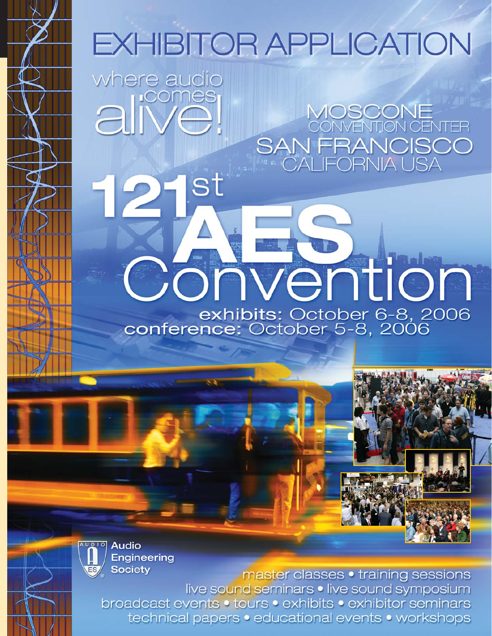# **EXHIBITOR APPLICATION**

where audio aliver

MOSCONE<br>CONVENTION CENTER SAN FRANCISCO<br>CALIFORNIA USA

onvention exhibits: October 6-8, 2006<br>conference: October 5-8, 2006

AUDIO **Audio Engineering Society** 

master classes • training sessions live sound seminars . live sound symposium broadcast events . tours . exhibits . exhibitor seminars technical papers • educational events • workshops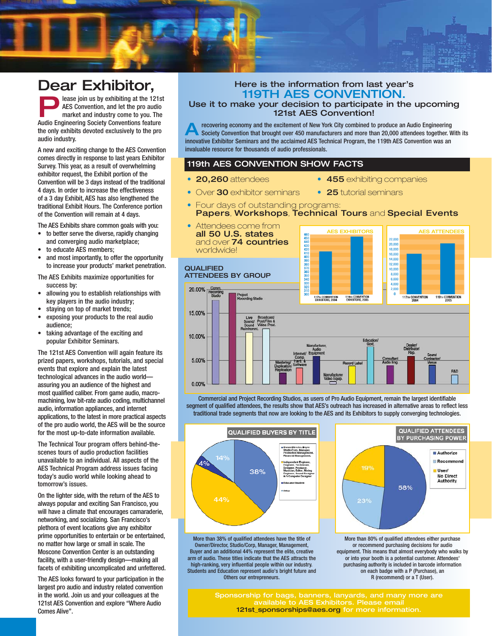# Dear Exhibitor,

**Please join us by exhibiting at the 121st**<br>AES Convention, and let the pro audio<br>market and industry come to you. The<br>Audio Engineering Society Conventions feature AES Convention, and let the pro audio market and industry come to you. The Audio Engineering Society Conventions feature the only exhibits devoted exclusively to the pro audio industry.

A new and exciting change to the AES Convention comes directly in response to last years Exhibitor Survey. This year, as a result of overwhelming exhibitor request, the Exhibit portion of the Convention will be 3 days instead of the traditional 4 days. In order to increase the effectiveness of a 3 day Exhibit, AES has also lengthened the traditional Exhibit Hours. The Conference portion of the Convention will remain at 4 days.

The AES Exhibits share common goals with you:

- to better serve the diverse, rapidly changing and converging audio marketplace;
- to educate AES members;
- and most importantly, to offer the opportunity to increase your products' market penetration.

The AES Exhibits maximize opportunities for success by:

- allowing you to establish relationships with key players in the audio industry;
- staying on top of market trends;
- exposing your products to the real audio audience;
- taking advantage of the exciting and popular Exhibitor Seminars.

The 121st AES Convention will again feature its prized papers, workshops, tutorials, and special events that explore and explain the latest technological advances in the audio world assuring you an audience of the highest and most qualified caliber. From game audio, macromachining, low bit-rate audio coding, multichannel audio, information appliances, and internet applications, to the latest in more practical aspects of the pro audio world, the AES will be the source for the most up-to-date information available.

The Technical Tour program offers behind-thescenes tours of audio production facilities unavailable to an individual. All aspects of the AES Technical Program address issues facing today's audio world while looking ahead to tomorrow's issues.

On the lighter side, with the return of the AES to always popular and exciting San Francisco, you will have a climate that encourages camaraderie, networking, and socializing. San Francisco's plethora of event locations give any exhibitor prime opportunities to entertain or be entertained, no matter how large or small in scale. The Moscone Convention Center is an outstanding facility, with a user-friendly design—making all facets of exhibiting uncomplicated and unfettered.

The AES looks forward to your participation in the largest pro audio and industry related convention in the world. Join us and your colleagues at the 121st AES Convention and explore "Where Audio Comes Alive".

# Here is the information from last year's 119TH AES CONVENTION.

Use it to make your decision to participate in the upcoming 121st AES Convention!

**A** recovering economy and the excitement of New York City combined to produce an Audio Engineering<br>Society Convention that brought over 450 manufacturers and more than 20,000 attendees together. With its innovative Exhibitor Seminars and the acclaimed AES Technical Program, the 119th AES Convention was an invaluable resource for thousands of audio professionals.

# 119th AES CONVENTION SHOW FACTS

- 
- 20,260 attendees 455 exhibiting companies
- Over 30 exhibitor seminars 25 tutorial seminars
- Four days of outstanding programs: Papers, Workshops, Technical Tours and Special Events
- Attendees come from AES EXHIBITORS **II** AES ATTENDEES all 50 U.S. states 460<br>450<br>440<br>420<br>410<br>390<br>370<br>380<br>370<br>380<br>370<br>380<br>320<br>310<br>320<br>310  $22.000$ and over 74 countries 20,000 worldwide! 18.000 16,000 14,000  $12.000$ **QUALIFIED** 8,000 ATTENDEES BY GROUP 6.000 4,000 20,00% 2.000 Project<br>Recording Studio O 117TH CONVENTION 119TH CONVENTION 117TH CONVENTION<br>EXHIBITORS, 2004 119TH CONVENTION<br>EXHIBITORS 2005 15.00% Broadcast<br>Post/Film &<br>Video Prod 10.00% 5.00% **Inches** R&D 0.00%

Commercial and Project Recording Studios, as users of Pro Audio Equipment, remain the largest identifiable segment of qualified attendees, the results show that AES's outreach has increased in alternative areas to reflect less traditional trade segments that now are looking to the AES and its Exhibitors to supply converging technologies.



More than 38% of qualified attendees have the title of Owner/Director, Studio/Corp, Manager, Management, Buyer and an additional 44% represent the elite, creative arm of audio. These titles indicate that the AES attracts the high-ranking, very influential people within our industry. Students and Education represent audio's bright future and Others our entrepreneurs.



More than 80% of qualified attendees either purchase or recommend purchasing decisions for audio equipment. This means that almost everybody who walks by or into your booth is a potential customer. Attendees' purchasing authority is included in barcode information on each badge with a P (Purchase), an R (recommend) or a T (User).

Sponsorship for bags, banners, lanyards, and many more are available to AES Exhibitors. Please email 121st\_sponsorships@aes.org for more information.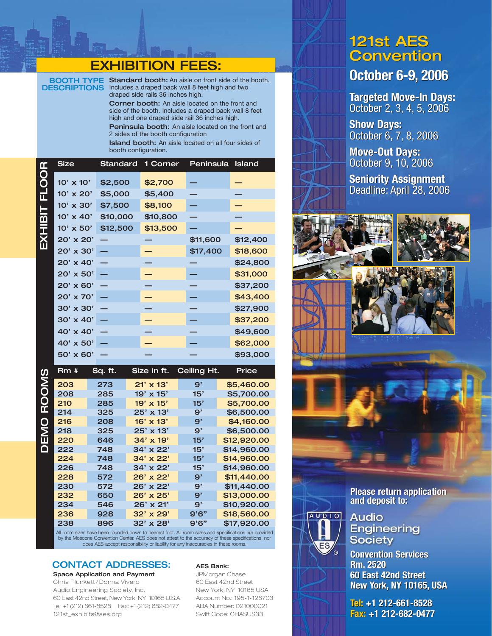# EXHIBITION FEES:

BOOTH TYPE **DESCRIPTIONS** 

Standard booth: An aisle on front side of the booth. Includes a draped back wall 8 feet high and two draped side rails 36 inches high.

Corner booth: An aisle located on the front and side of the booth. Includes a draped back wall 8 feet high and one draped side rail 36 inches high.

Peninsula booth: An aisle located on the front and 2 sides of the booth configuration

Island booth: An aisle located on all four sides of booth configuration.

|               | <b>Size</b>      | Standard | 1 Corner | Peninsula | <b>Island</b> |
|---------------|------------------|----------|----------|-----------|---------------|
| EXHIBIT FLOOR | $10' \times 10'$ | \$2,500  | \$2,700  |           |               |
|               | $10' \times 20'$ | \$5,000  | \$5,400  |           |               |
|               | $10' \times 30'$ | \$7,500  | \$8,100  |           |               |
|               | $10' \times 40'$ | \$10,000 | \$10,800 |           |               |
|               | $10' \times 50'$ | \$12,500 | \$13,500 |           |               |
|               | 20' x 20'        |          |          | \$11,600  | \$12,400      |
|               | 20' x 30'        |          |          | \$17,400  | \$18,600      |
|               | $20' \times 40'$ |          |          |           | \$24,800      |
|               | $20' \times 50'$ |          |          |           | \$31,000      |
|               | $20' \times 60'$ |          |          |           | \$37,200      |
|               | $20' \times 70'$ |          |          |           | \$43,400      |
|               | 30' x 30'        |          |          |           | \$27,900      |
|               | $30' \times 40'$ |          |          |           | \$37,200      |
|               | 40' x 40'        |          |          |           | \$49,600      |
|               | $40' \times 50'$ |          |          |           | \$62,000      |
|               | 50' x 60'        |          |          |           | \$93,000      |
|               |                  |          |          |           |               |

Rm # Sq. ft. Size in ft. Ceiling Ht. Price **DEMO ROOMS** DEMO ROOMS203 273 21' x 13' 9' \$5,460.00 208 285 19' x 15' 15' \$5,700.00 210 285 19' x 15' 15' \$5,700.00 214 325 25' x 13' 9' \$6,500.00 216 208 16' x 13' 9' \$4,160.00 218 325 25' x 13' 9' \$6,500.00 220 646 34' x 19' 15' \$12,920.00 222 748 34' x 22' 15' \$14,960.00 224 748 34' x 22' 15' \$14,960.00 226 748 34' x 22' 15' \$14,960.00 228 572 26' x 22' 9' \$11,440.00 230 572 26' x 22' 9' \$11,440.00 232 650 26' x 25' 9' \$13,000.00 234 546 26' x 21' 9' \$10,920.00 236 928 32' x 29' 9'6" \$18,560.00 238 896 32' x 28' 9'6" \$17,920.00

All room sizes have been rounded down to nearest foot. All room sizes and specifications are provided by the Moscone Convention Center. AES does not attest to the accuracy of these specifications, nor does AES accept responsibility or liability for any inaccuracies in these rooms.

# CONTACT ADDRESSES:

### Space Application and Payment

Chris Plunkett / Donna Vivero Audio Engineering Society, Inc. 60 East 42nd Street, New York, NY 10165 U.S.A. Tel: +1 (212) 661-8528 Fax: +1 (212) 682-0477 121st\_exhibits@aes.org

### AES Bank:

JPMorgan Chase 60 East 42nd Street New York, NY 10165 USA Account No.: 195-1-126703 ABA Number: 021000021 Swift Code: CHASUS33

# 121st AES 121st AES<br>Convention

# **October 6-9, 2006 October 6-9, 2006**

**Targeted Move-In Days: Targeted Move-In Days:**<br>October 2, 3, 4, 5, 2006

**Show Days: Show Days:** October 6, 7, 8, 2006 October 6, 7,

**Move-Out Days: Move-Out Days:** October 9, 10, 2006 October 9, 10, 2006

**Seniority Assignment Seniority Assignment**<br>Deadline: April 28, 2006



**Please return application Please return and deposit to: and deposit to:**

**AUDIO Audio Engineering Society** 

**Convention Services Convention Services Rm. 2520 Rm. 2520 60 East 42nd Street 60 East 42nd Street New York, NY 10165, USA New York, 10165, USA**

**Tel: +1 212-661-8528 Tel: +1 212-661-8528 Fax: +1 212-682-0477 Fax: 212-682-0477**